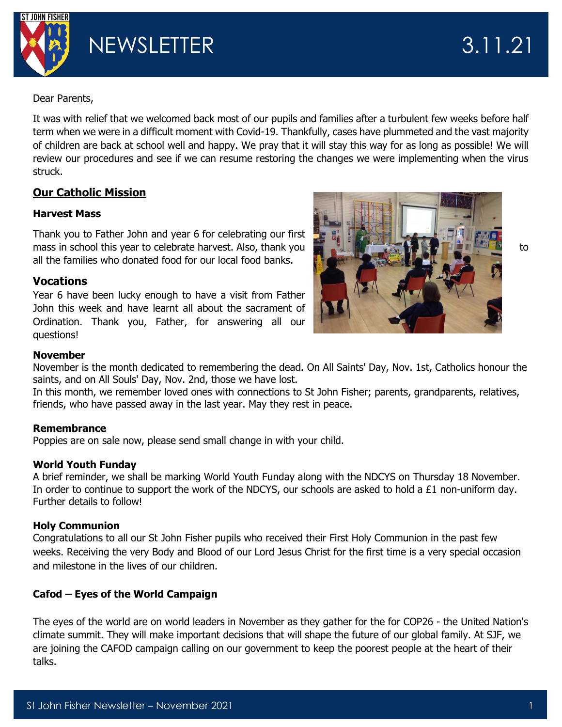

Dear Parents,

It was with relief that we welcomed back most of our pupils and families after a turbulent few weeks before half term when we were in a difficult moment with Covid-19. Thankfully, cases have plummeted and the vast majority of children are back at school well and happy. We pray that it will stay this way for as long as possible! We will review our procedures and see if we can resume restoring the changes we were implementing when the virus struck.

# **Our Catholic Mission**

# **Harvest Mass**

Thank you to Father John and year 6 for celebrating our first mass in school this year to celebrate harvest. Also, thank you to the state of the state of to to all the families who donated food for our local food banks.

# **Vocations**

Year 6 have been lucky enough to have a visit from Father John this week and have learnt all about the sacrament of Ordination. Thank you, Father, for answering all our questions!



# **November**

November is the month dedicated to remembering the dead. On All Saints' Day, Nov. 1st, Catholics honour the saints, and on All Souls' Day, Nov. 2nd, those we have lost.

In this month, we remember loved ones with connections to St John Fisher; parents, grandparents, relatives, friends, who have passed away in the last year. May they rest in peace.

## **Remembrance**

Poppies are on sale now, please send small change in with your child.

## **World Youth Funday**

A brief reminder, we shall be marking World Youth Funday along with the NDCYS on Thursday 18 November. In order to continue to support the work of the NDCYS, our schools are asked to hold a £1 non-uniform day. Further details to follow!

## **Holy Communion**

Congratulations to all our St John Fisher pupils who received their First Holy Communion in the past few weeks. Receiving the very Body and Blood of our Lord Jesus Christ for the first time is a very special occasion and milestone in the lives of our children.

# **Cafod – Eyes of the World Campaign**

The eyes of the world are on world leaders in November as they gather for the for COP26 - the United Nation's climate summit. They will make important decisions that will shape the future of our global family. At SJF, we are joining the CAFOD campaign calling on our government to keep the poorest people at the heart of their talks.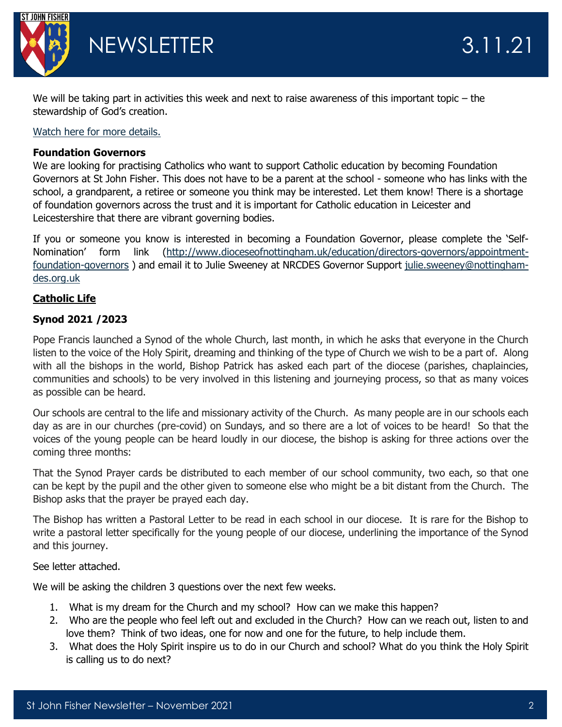

NEWSLETTER 3.11.21

We will be taking part in activities this week and next to raise awareness of this important topic – the stewardship of God's creation.

## [Watch here for more details.](https://www.youtube.com/watch?v=pv7PRf1fYUM)

## **Foundation Governors**

We are looking for practising Catholics who want to support Catholic education by becoming Foundation Governors at St John Fisher. This does not have to be a parent at the school - someone who has links with the school, a grandparent, a retiree or someone you think may be interested. Let them know! There is a shortage of foundation governors across the trust and it is important for Catholic education in Leicester and Leicestershire that there are vibrant governing bodies.

If you or someone you know is interested in becoming a Foundation Governor, please complete the 'Self-Nomination' form link ([http://www.dioceseofnottingham.uk/education/directors-governors/appointment](http://www.dioceseofnottingham.uk/education/directors-governors/appointment-foundation-governors)[foundation-governors](http://www.dioceseofnottingham.uk/education/directors-governors/appointment-foundation-governors) ) and email it to Julie Sweeney at NRCDES Governor Support [julie.sweeney@nottingham](mailto:julie.sweeney@nottingham-des.org.uk)[des.org.uk](mailto:julie.sweeney@nottingham-des.org.uk)

# **Catholic Life**

## **Synod 2021 /2023**

Pope Francis launched a Synod of the whole Church, last month, in which he asks that everyone in the Church listen to the voice of the Holy Spirit, dreaming and thinking of the type of Church we wish to be a part of. Along with all the bishops in the world, Bishop Patrick has asked each part of the diocese (parishes, chaplaincies, communities and schools) to be very involved in this listening and journeying process, so that as many voices as possible can be heard.

Our schools are central to the life and missionary activity of the Church. As many people are in our schools each day as are in our churches (pre-covid) on Sundays, and so there are a lot of voices to be heard! So that the voices of the young people can be heard loudly in our diocese, the bishop is asking for three actions over the coming three months:

That the Synod Prayer cards be distributed to each member of our school community, two each, so that one can be kept by the pupil and the other given to someone else who might be a bit distant from the Church. The Bishop asks that the prayer be prayed each day.

The Bishop has written a Pastoral Letter to be read in each school in our diocese. It is rare for the Bishop to write a pastoral letter specifically for the young people of our diocese, underlining the importance of the Synod and this journey.

## See letter attached.

We will be asking the children 3 questions over the next few weeks.

- 1. What is my dream for the Church and my school? How can we make this happen?
- 2. Who are the people who feel left out and excluded in the Church? How can we reach out, listen to and love them? Think of two ideas, one for now and one for the future, to help include them.
- 3. What does the Holy Spirit inspire us to do in our Church and school? What do you think the Holy Spirit is calling us to do next?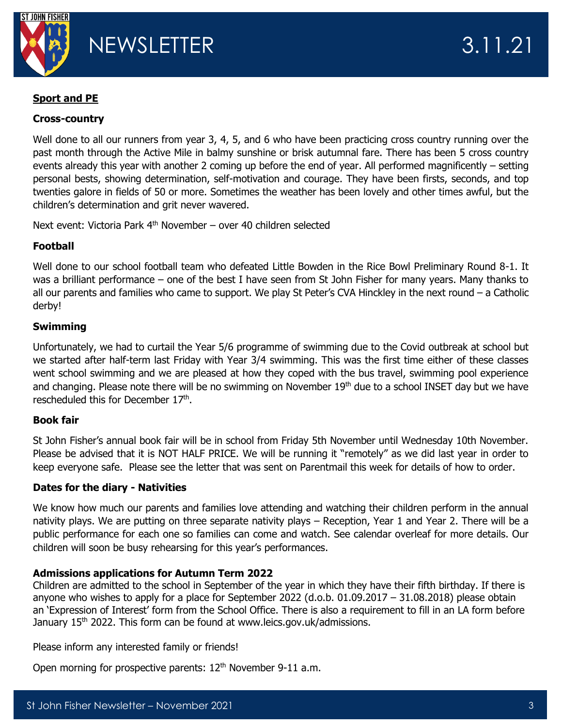

# **Sport and PE**

#### **Cross-country**

Well done to all our runners from year 3, 4, 5, and 6 who have been practicing cross country running over the past month through the Active Mile in balmy sunshine or brisk autumnal fare. There has been 5 cross country events already this year with another 2 coming up before the end of year. All performed magnificently – setting personal bests, showing determination, self-motivation and courage. They have been firsts, seconds, and top twenties galore in fields of 50 or more. Sometimes the weather has been lovely and other times awful, but the children's determination and grit never wavered.

Next event: Victoria Park  $4<sup>th</sup>$  November – over 40 children selected

## **Football**

Well done to our school football team who defeated Little Bowden in the Rice Bowl Preliminary Round 8-1. It was a brilliant performance – one of the best I have seen from St John Fisher for many years. Many thanks to all our parents and families who came to support. We play St Peter's CVA Hinckley in the next round – a Catholic derby!

#### **Swimming**

Unfortunately, we had to curtail the Year 5/6 programme of swimming due to the Covid outbreak at school but we started after half-term last Friday with Year 3/4 swimming. This was the first time either of these classes went school swimming and we are pleased at how they coped with the bus travel, swimming pool experience and changing. Please note there will be no swimming on November 19<sup>th</sup> due to a school INSET day but we have rescheduled this for December 17<sup>th</sup>.

#### **Book fair**

St John Fisher's annual book fair will be in school from Friday 5th November until Wednesday 10th November. Please be advised that it is NOT HALF PRICE. We will be running it "remotely" as we did last year in order to keep everyone safe. Please see the letter that was sent on Parentmail this week for details of how to order.

#### **Dates for the diary - Nativities**

We know how much our parents and families love attending and watching their children perform in the annual nativity plays. We are putting on three separate nativity plays – Reception, Year 1 and Year 2. There will be a public performance for each one so families can come and watch. See calendar overleaf for more details. Our children will soon be busy rehearsing for this year's performances.

#### **Admissions applications for Autumn Term 2022**

Children are admitted to the school in September of the year in which they have their fifth birthday. If there is anyone who wishes to apply for a place for September 2022 (d.o.b. 01.09.2017 – 31.08.2018) please obtain an 'Expression of Interest' form from the School Office. There is also a requirement to fill in an LA form before January 15<sup>th</sup> 2022. This form can be found at www.leics.gov.uk/admissions.

Please inform any interested family or friends!

Open morning for prospective parents:  $12<sup>th</sup>$  November 9-11 a.m.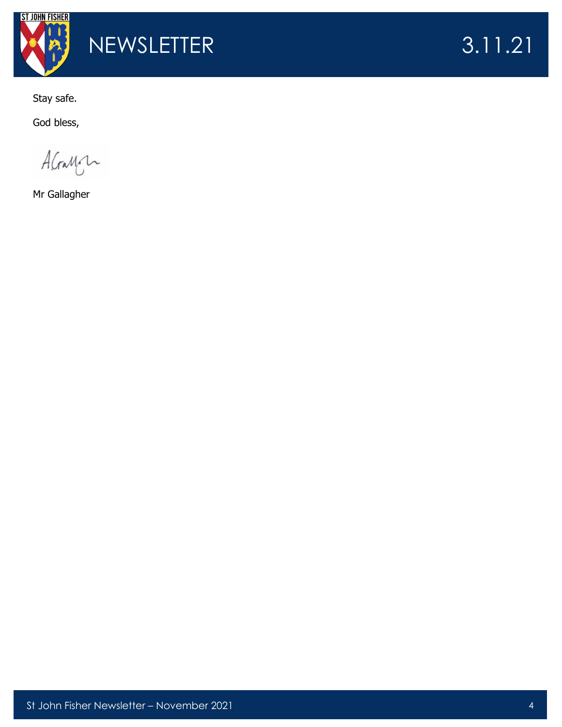

Stay safe.

God bless,

AGamon

Mr Gallagher